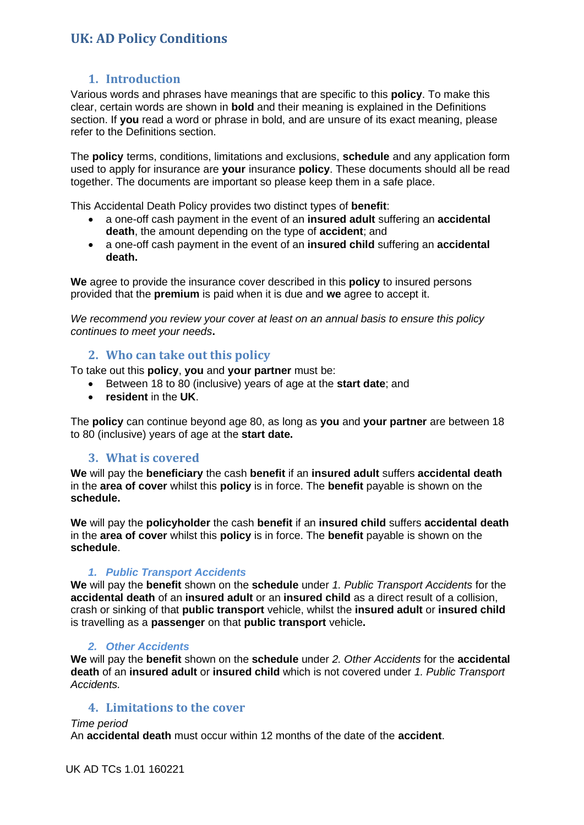## **1. Introduction**

Various words and phrases have meanings that are specific to this **policy**. To make this clear, certain words are shown in **bold** and their meaning is explained in the Definitions section. If **you** read a word or phrase in bold, and are unsure of its exact meaning, please refer to the Definitions section.

The **policy** terms, conditions, limitations and exclusions, **schedule** and any application form used to apply for insurance are **your** insurance **policy**. These documents should all be read together. The documents are important so please keep them in a safe place.

This Accidental Death Policy provides two distinct types of **benefit**:

- a one-off cash payment in the event of an **insured adult** suffering an **accidental death**, the amount depending on the type of **accident**; and
- a one-off cash payment in the event of an **insured child** suffering an **accidental death.**

**We** agree to provide the insurance cover described in this **policy** to insured persons provided that the **premium** is paid when it is due and **we** agree to accept it.

*We recommend you review your cover at least on an annual basis to ensure this policy continues to meet your needs***.**

## **2. Who can take out this policy**

To take out this **policy**, **you** and **your partner** must be:

- Between 18 to 80 (inclusive) years of age at the **start date**; and
- **resident** in the **UK**.

The **policy** can continue beyond age 80, as long as **you** and **your partner** are between 18 to 80 (inclusive) years of age at the **start date.**

### **3. What is covered**

**We** will pay the **beneficiary** the cash **benefit** if an **insured adult** suffers **accidental death**  in the **area of cover** whilst this **policy** is in force. The **benefit** payable is shown on the **schedule.**

**We** will pay the **policyholder** the cash **benefit** if an **insured child** suffers **accidental death**  in the **area of cover** whilst this **policy** is in force. The **benefit** payable is shown on the **schedule**.

### *1. Public Transport Accidents*

**We** will pay the **benefit** shown on the **schedule** under *1. Public Transport Accidents* for the **accidental death** of an **insured adult** or an **insured child** as a direct result of a collision, crash or sinking of that **public transport** vehicle, whilst the **insured adult** or **insured child**  is travelling as a **passenger** on that **public transport** vehicle**.**

### *2. Other Accidents*

**We** will pay the **benefit** shown on the **schedule** under *2. Other Accidents* for the **accidental death** of an **insured adult** or **insured child** which is not covered under *1. Public Transport Accidents.*

### **4. Limitations to the cover**

*Time period*

An **accidental death** must occur within 12 months of the date of the **accident**.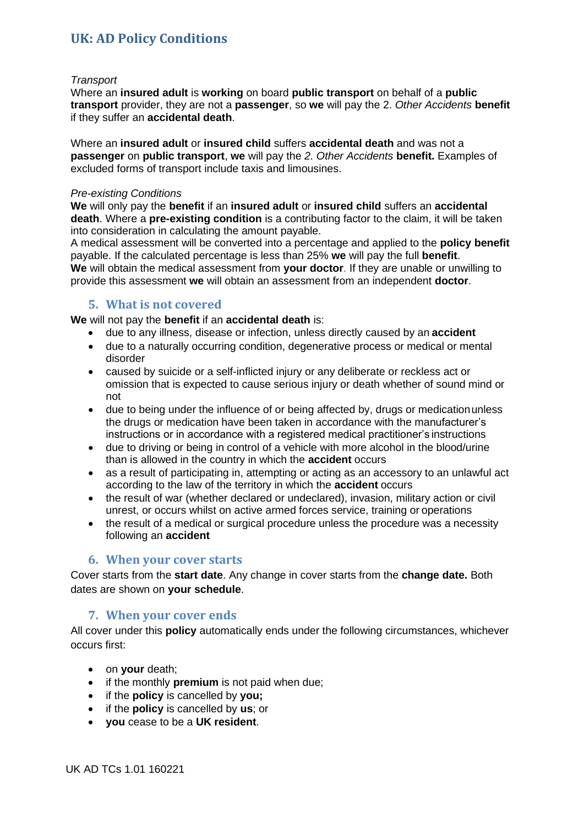#### *Transport*

Where an **insured adult** is **working** on board **public transport** on behalf of a **public transport** provider, they are not a **passenger**, so **we** will pay the 2. *Other Accidents* **benefit**  if they suffer an **accidental death**.

Where an **insured adult** or **insured child** suffers **accidental death** and was not a **passenger** on **public transport**, **we** will pay the *2. Other Accidents* **benefit.** Examples of excluded forms of transport include taxis and limousines.

#### *Pre-existing Conditions*

**We** will only pay the **benefit** if an **insured adult** or **insured child** suffers an **accidental death**. Where a **pre-existing condition** is a contributing factor to the claim, it will be taken into consideration in calculating the amount payable.

A medical assessment will be converted into a percentage and applied to the **policy benefit** payable. If the calculated percentage is less than 25% **we** will pay the full **benefit**. **We** will obtain the medical assessment from **your doctor**. If they are unable or unwilling to provide this assessment **we** will obtain an assessment from an independent **doctor**.

### **5. What is not covered**

**We** will not pay the **benefit** if an **accidental death** is:

- due to any illness, disease or infection, unless directly caused by an **accident**
- due to a naturally occurring condition, degenerative process or medical or mental disorder
- caused by suicide or a self-inflicted injury or any deliberate or reckless act or omission that is expected to cause serious injury or death whether of sound mind or not
- due to being under the influence of or being affected by, drugs or medicationunless the drugs or medication have been taken in accordance with the manufacturer's instructions or in accordance with a registered medical practitioner's instructions
- due to driving or being in control of a vehicle with more alcohol in the blood/urine than is allowed in the country in which the **accident** occurs
- as a result of participating in, attempting or acting as an accessory to an unlawful act according to the law of the territory in which the **accident** occurs
- the result of war (whether declared or undeclared), invasion, military action or civil unrest, or occurs whilst on active armed forces service, training or operations
- the result of a medical or surgical procedure unless the procedure was a necessity following an **accident**

### **6. When your cover starts**

Cover starts from the **start date**. Any change in cover starts from the **change date.** Both dates are shown on **your schedule**.

## **7. When your cover ends**

All cover under this **policy** automatically ends under the following circumstances, whichever occurs first:

- on **your** death;
- if the monthly **premium** is not paid when due;
- if the **policy** is cancelled by **you;**
- if the **policy** is cancelled by **us**; or
- **you** cease to be a **UK resident**.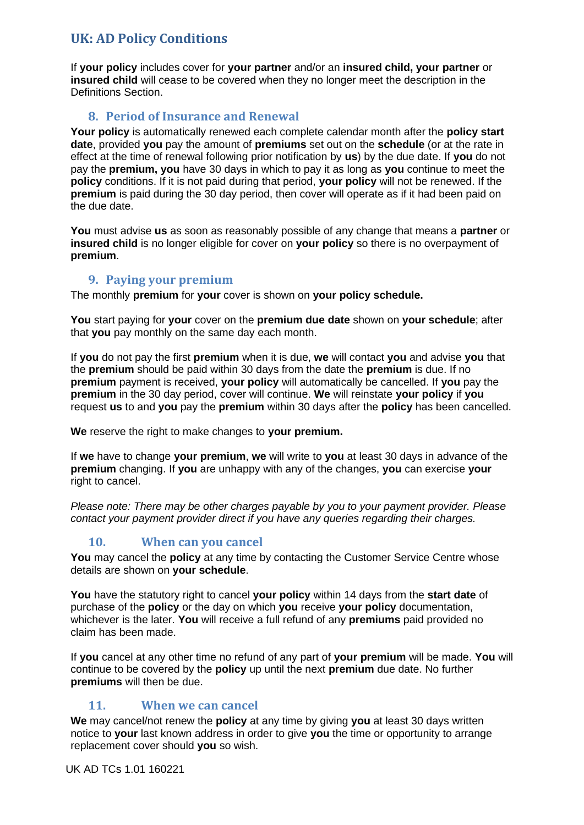If **your policy** includes cover for **your partner** and/or an **insured child, your partner** or **insured child** will cease to be covered when they no longer meet the description in the Definitions Section.

## **8. Period of Insurance and Renewal**

**Your policy** is automatically renewed each complete calendar month after the **policy start date**, provided **you** pay the amount of **premiums** set out on the **schedule** (or at the rate in effect at the time of renewal following prior notification by **us**) by the due date. If **you** do not pay the **premium, you** have 30 days in which to pay it as long as **you** continue to meet the **policy** conditions. If it is not paid during that period, **your policy** will not be renewed. If the **premium** is paid during the 30 day period, then cover will operate as if it had been paid on the due date.

**You** must advise **us** as soon as reasonably possible of any change that means a **partner** or **insured child** is no longer eligible for cover on **your policy** so there is no overpayment of **premium**.

## **9. Paying your premium**

The monthly **premium** for **your** cover is shown on **your policy schedule.**

**You** start paying for **your** cover on the **premium due date** shown on **your schedule**; after that **you** pay monthly on the same day each month.

If **you** do not pay the first **premium** when it is due, **we** will contact **you** and advise **you** that the **premium** should be paid within 30 days from the date the **premium** is due. If no **premium** payment is received, **your policy** will automatically be cancelled. If **you** pay the **premium** in the 30 day period, cover will continue. **We** will reinstate **your policy** if **you**  request **us** to and **you** pay the **premium** within 30 days after the **policy** has been cancelled.

**We** reserve the right to make changes to **your premium.**

If **we** have to change **your premium**, **we** will write to **you** at least 30 days in advance of the **premium** changing. If **you** are unhappy with any of the changes, **you** can exercise **your**  right to cancel.

*Please note: There may be other charges payable by you to your payment provider. Please contact your payment provider direct if you have any queries regarding their charges.*

## **10. When can you cancel**

**You** may cancel the **policy** at any time by contacting the Customer Service Centre whose details are shown on **your schedule**.

**You** have the statutory right to cancel **your policy** within 14 days from the **start date** of purchase of the **policy** or the day on which **you** receive **your policy** documentation, whichever is the later. **You** will receive a full refund of any **premiums** paid provided no claim has been made.

If **you** cancel at any other time no refund of any part of **your premium** will be made. **You** will continue to be covered by the **policy** up until the next **premium** due date. No further **premiums** will then be due.

## **11. When we can cancel**

**We** may cancel/not renew the **policy** at any time by giving **you** at least 30 days written notice to **your** last known address in order to give **you** the time or opportunity to arrange replacement cover should **you** so wish.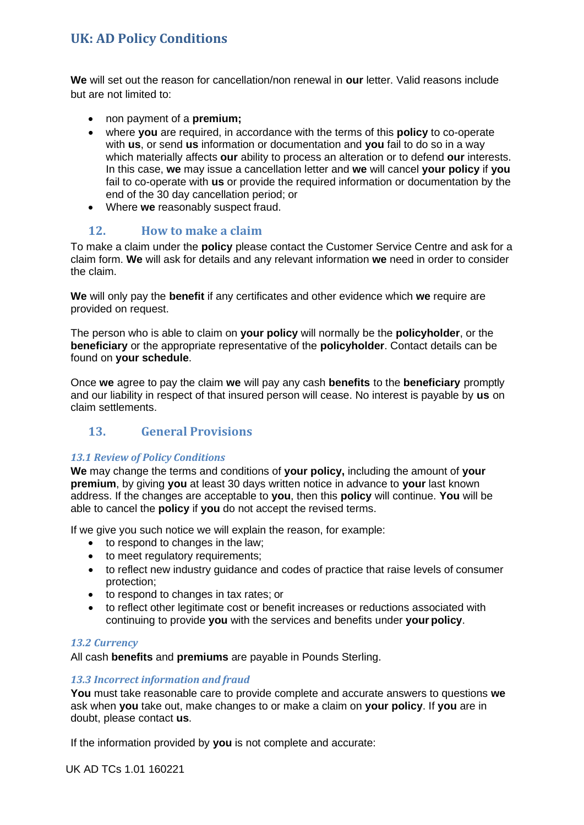**We** will set out the reason for cancellation/non renewal in **our** letter. Valid reasons include but are not limited to:

- non payment of a **premium;**
- where **you** are required, in accordance with the terms of this **policy** to co-operate with **us**, or send **us** information or documentation and **you** fail to do so in a way which materially affects **our** ability to process an alteration or to defend **our** interests. In this case, **we** may issue a cancellation letter and **we** will cancel **your policy** if **you**  fail to co-operate with **us** or provide the required information or documentation by the end of the 30 day cancellation period; or
- Where **we** reasonably suspect fraud.

## **12. How to make a claim**

To make a claim under the **policy** please contact the Customer Service Centre and ask for a claim form. **We** will ask for details and any relevant information **we** need in order to consider the claim.

**We** will only pay the **benefit** if any certificates and other evidence which **we** require are provided on request.

The person who is able to claim on **your policy** will normally be the **policyholder**, or the **beneficiary** or the appropriate representative of the **policyholder**. Contact details can be found on **your schedule**.

Once **we** agree to pay the claim **we** will pay any cash **benefits** to the **beneficiary** promptly and our liability in respect of that insured person will cease. No interest is payable by **us** on claim settlements.

# **13. General Provisions**

## *13.1 Review of Policy Conditions*

**We** may change the terms and conditions of **your policy,** including the amount of **your premium**, by giving **you** at least 30 days written notice in advance to **your** last known address. If the changes are acceptable to **you**, then this **policy** will continue. **You** will be able to cancel the **policy** if **you** do not accept the revised terms.

If we give you such notice we will explain the reason, for example:

- to respond to changes in the law;
- to meet regulatory requirements;
- to reflect new industry guidance and codes of practice that raise levels of consumer protection;
- to respond to changes in tax rates; or
- to reflect other legitimate cost or benefit increases or reductions associated with continuing to provide **you** with the services and benefits under **your policy**.

### *13.2 Currency*

All cash **benefits** and **premiums** are payable in Pounds Sterling.

### *13.3 Incorrect information and fraud*

**You** must take reasonable care to provide complete and accurate answers to questions **we**  ask when **you** take out, make changes to or make a claim on **your policy**. If **you** are in doubt, please contact **us**.

If the information provided by **you** is not complete and accurate:

UK AD TCs 1.01 160221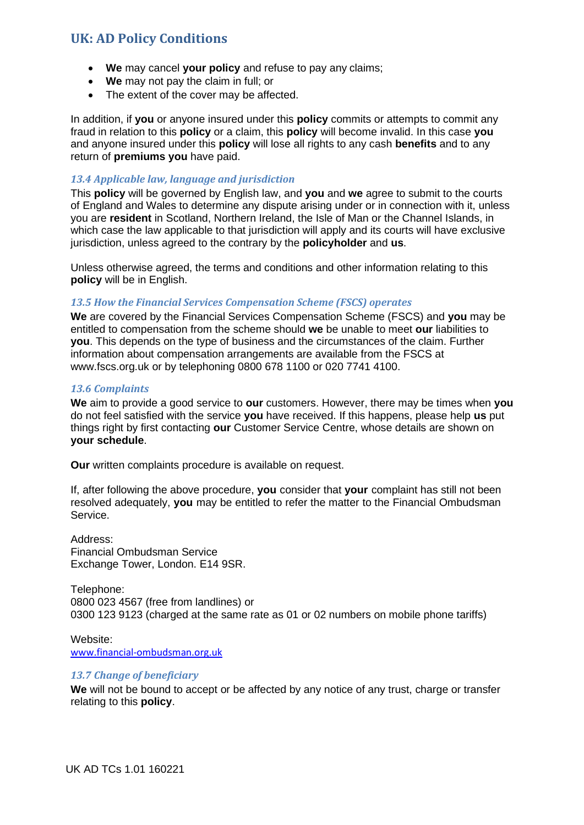- **We** may cancel **your policy** and refuse to pay any claims;
- **We** may not pay the claim in full; or
- The extent of the cover may be affected.

In addition, if **you** or anyone insured under this **policy** commits or attempts to commit any fraud in relation to this **policy** or a claim, this **policy** will become invalid. In this case **you**  and anyone insured under this **policy** will lose all rights to any cash **benefits** and to any return of **premiums you** have paid.

#### *13.4 Applicable law, language and jurisdiction*

This **policy** will be governed by English law, and **you** and **we** agree to submit to the courts of England and Wales to determine any dispute arising under or in connection with it, unless you are **resident** in Scotland, Northern Ireland, the Isle of Man or the Channel Islands, in which case the law applicable to that jurisdiction will apply and its courts will have exclusive jurisdiction, unless agreed to the contrary by the **policyholder** and **us**.

Unless otherwise agreed, the terms and conditions and other information relating to this **policy** will be in English.

#### *13.5 How the Financial Services Compensation Scheme (FSCS) operates*

**We** are covered by the Financial Services Compensation Scheme (FSCS) and **you** may be entitled to compensation from the scheme should **we** be unable to meet **our** liabilities to **you**. This depends on the type of business and the circumstances of the claim. Further information about compensation arrangements are available from the FSCS at [www.fscs.org.uk o](http://www.fscs.org.uk/)r by telephoning 0800 678 1100 or 020 7741 4100.

#### *13.6 Complaints*

**We** aim to provide a good service to **our** customers. However, there may be times when **you**  do not feel satisfied with the service **you** have received. If this happens, please help **us** put things right by first contacting **our** Customer Service Centre, whose details are shown on **your schedule**.

**Our** written complaints procedure is available on request.

If, after following the above procedure, **you** consider that **your** complaint has still not been resolved adequately, **you** may be entitled to refer the matter to the Financial Ombudsman Service.

Address: Financial Ombudsman Service Exchange Tower, London. E14 9SR.

Telephone: 0800 023 4567 (free from landlines) or 0300 123 9123 (charged at the same rate as 01 or 02 numbers on mobile phone tariffs)

Website: [www.financial-ombudsman.org.uk](http://www.financial-ombudsman.org.uk/)

#### *13.7 Change of beneficiary*

**We** will not be bound to accept or be affected by any notice of any trust, charge or transfer relating to this **policy**.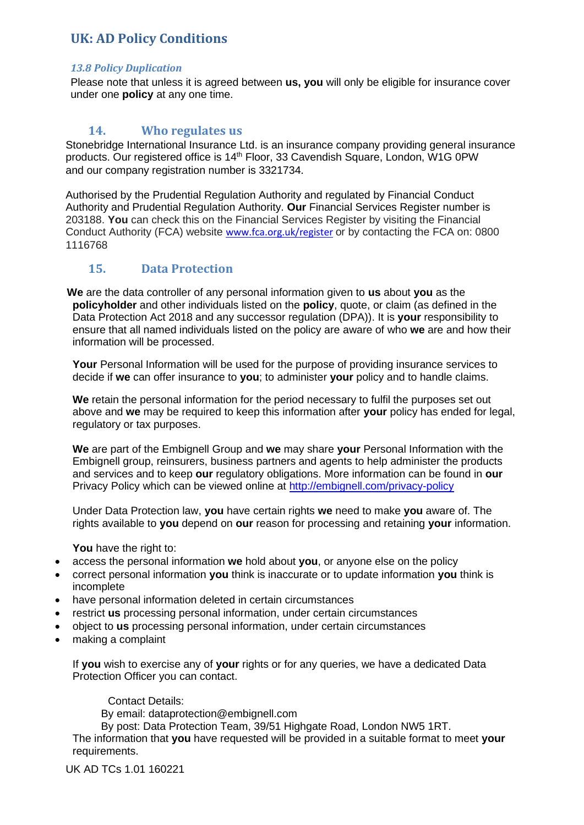### *13.8 Policy Duplication*

Please note that unless it is agreed between **us, you** will only be eligible for insurance cover under one **policy** at any one time.

## **14. Who regulates us**

Stonebridge International Insurance Ltd. is an insurance company providing general insurance products. Our registered office is 14<sup>th</sup> Floor, 33 Cavendish Square, London, W1G 0PW and our company registration number is 3321734.

Authorised by the Prudential Regulation Authority and regulated by Financial Conduct Authority and Prudential Regulation Authority. **Our** Financial Services Register number is 203188. **You** can check this on the Financial Services Register by visiting the Financial Conduct Authority (FCA) website [www.fca.org.uk/register](http://www.fca.org.uk/register) or by contacting the FCA on: 0800 1116768

## **15. Data Protection**

 **We** are the data controller of any personal information given to **us** about **you** as the **policyholder** and other individuals listed on the **policy**, quote, or claim (as defined in the Data Protection Act 2018 and any successor regulation (DPA)). It is **your** responsibility to ensure that all named individuals listed on the policy are aware of who **we** are and how their information will be processed.

**Your** Personal Information will be used for the purpose of providing insurance services to decide if **we** can offer insurance to **you**; to administer **your** policy and to handle claims.

**We** retain the personal information for the period necessary to fulfil the purposes set out above and **we** may be required to keep this information after **your** policy has ended for legal, regulatory or tax purposes.

**We** are part of the Embignell Group and **we** may share **your** Personal Information with the Embignell group, reinsurers, business partners and agents to help administer the products and services and to keep **our** regulatory obligations. More information can be found in **our** Privacy Policy which can be viewed online at<http://embignell.com/privacy-policy>

Under Data Protection law, **you** have certain rights **we** need to make **you** aware of. The rights available to **you** depend on **our** reason for processing and retaining **your** information.

**You** have the right to:

- access the personal information **we** hold about **you**, or anyone else on the policy
- correct personal information **you** think is inaccurate or to update information **you** think is incomplete
- have personal information deleted in certain circumstances
- restrict **us** processing personal information, under certain circumstances
- object to **us** processing personal information, under certain circumstances
- making a complaint

If **you** wish to exercise any of **your** rights or for any queries, we have a dedicated Data Protection Officer you can contact.

Contact Details:

By email: dataprotection@embignell.com

By post: Data Protection Team, 39/51 Highgate Road, London NW5 1RT.

The information that **you** have requested will be provided in a suitable format to meet **your**  requirements.

UK AD TCs 1.01 160221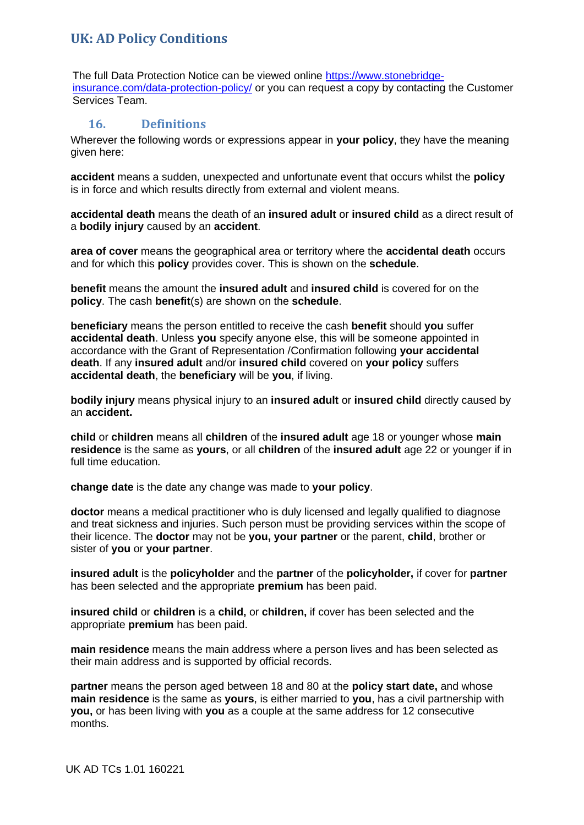The full Data Protection Notice can be viewed online [https://www.stonebridge](https://www.stonebridge-insurance.com/data-protection-policy/)[insurance.com/data-protection-policy/](https://www.stonebridge-insurance.com/data-protection-policy/) or you can request a copy by contacting the Customer Services Team.

## **16. Definitions**

Wherever the following words or expressions appear in **your policy**, they have the meaning given here:

**accident** means a sudden, unexpected and unfortunate event that occurs whilst the **policy** is in force and which results directly from external and violent means.

**accidental death** means the death of an **insured adult** or **insured child** as a direct result of a **bodily injury** caused by an **accident**.

**area of cover** means the geographical area or territory where the **accidental death** occurs and for which this **policy** provides cover. This is shown on the **schedule**.

**benefit** means the amount the **insured adult** and **insured child** is covered for on the **policy**. The cash **benefit**(s) are shown on the **schedule**.

**beneficiary** means the person entitled to receive the cash **benefit** should **you** suffer **accidental death**. Unless **you** specify anyone else, this will be someone appointed in accordance with the Grant of Representation /Confirmation following **your accidental death**. If any **insured adult** and/or **insured child** covered on **your policy** suffers **accidental death**, the **beneficiary** will be **you**, if living.

**bodily injury** means physical injury to an **insured adult** or **insured child** directly caused by an **accident.**

**child** or **children** means all **children** of the **insured adult** age 18 or younger whose **main residence** is the same as **yours**, or all **children** of the **insured adult** age 22 or younger if in full time education.

**change date** is the date any change was made to **your policy**.

**doctor** means a medical practitioner who is duly licensed and legally qualified to diagnose and treat sickness and injuries. Such person must be providing services within the scope of their licence. The **doctor** may not be **you, your partner** or the parent, **child**, brother or sister of **you** or **your partner**.

**insured adult** is the **policyholder** and the **partner** of the **policyholder,** if cover for **partner** has been selected and the appropriate **premium** has been paid.

**insured child** or **children** is a **child,** or **children,** if cover has been selected and the appropriate **premium** has been paid.

**main residence** means the main address where a person lives and has been selected as their main address and is supported by official records.

**partner** means the person aged between 18 and 80 at the **policy start date,** and whose **main residence** is the same as **yours**, is either married to **you**, has a civil partnership with **you,** or has been living with **you** as a couple at the same address for 12 consecutive months.